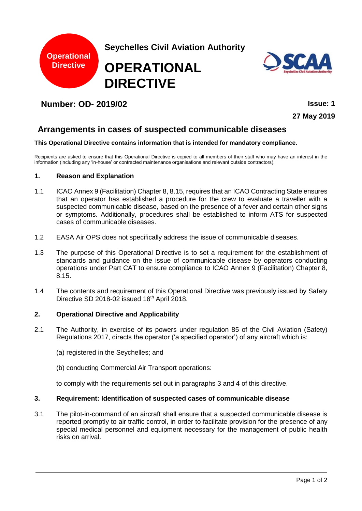

# **Number: OD- 2019/02 Issue: 1**

**27 May 2019**

# **Arrangements in cases of suspected communicable diseases**

#### **This Operational Directive contains information that is intended for mandatory compliance.**

Recipients are asked to ensure that this Operational Directive is copied to all members of their staff who may have an interest in the information (including any 'in-house' or contracted maintenance organisations and relevant outside contractors).

#### **1. Reason and Explanation**

- 1.1 ICAO Annex 9 (Facilitation) Chapter 8, 8.15, requires that an ICAO Contracting State ensures that an operator has established a procedure for the crew to evaluate a traveller with a suspected communicable disease, based on the presence of a fever and certain other signs or symptoms. Additionally, procedures shall be established to inform ATS for suspected cases of communicable diseases.
- 1.2 EASA Air OPS does not specifically address the issue of communicable diseases.
- 1.3 The purpose of this Operational Directive is to set a requirement for the establishment of standards and guidance on the issue of communicable disease by operators conducting operations under Part CAT to ensure compliance to ICAO Annex 9 (Facilitation) Chapter 8, 8.15.
- 1.4 The contents and requirement of this Operational Directive was previously issued by Safety Directive SD 2018-02 issued 18th April 2018.

#### **2. Operational Directive and Applicability**

- 2.1 The Authority, in exercise of its powers under regulation 85 of the Civil Aviation (Safety) Regulations 2017, directs the operator ('a specified operator') of any aircraft which is:
	- (a) registered in the Seychelles; and
	- (b) conducting Commercial Air Transport operations:

to comply with the requirements set out in paragraphs 3 and 4 of this directive.

### **3. Requirement: Identification of suspected cases of communicable disease**

3.1 The pilot-in-command of an aircraft shall ensure that a suspected communicable disease is reported promptly to air traffic control, in order to facilitate provision for the presence of any special medical personnel and equipment necessary for the management of public health risks on arrival.